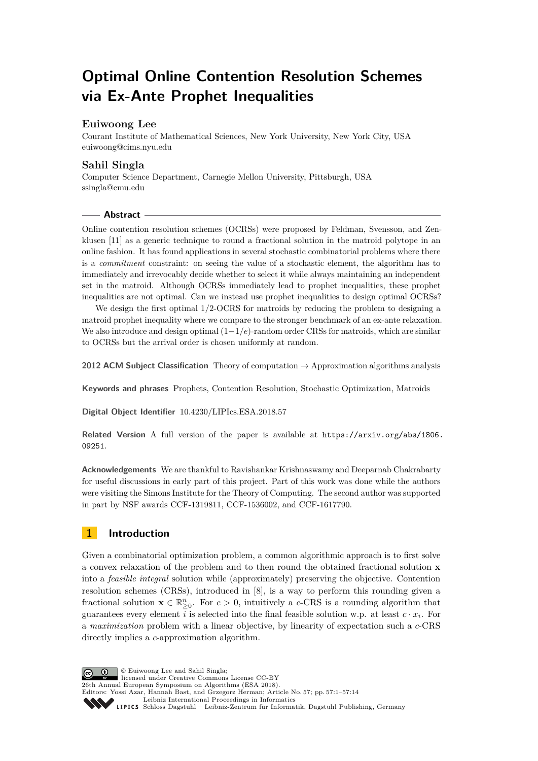# **Optimal Online Contention Resolution Schemes via Ex-Ante Prophet Inequalities**

# **Euiwoong Lee**

Courant Institute of Mathematical Sciences, New York University, New York City, USA [euiwoong@cims.nyu.edu](mailto:euiwoong@cims.nyu.edu)

# **Sahil Singla**

Computer Science Department, Carnegie Mellon University, Pittsburgh, USA [ssingla@cmu.edu](mailto:ssingla@cmu.edu)

### **Abstract**

Online contention resolution schemes (OCRSs) were proposed by Feldman, Svensson, and Zenklusen [\[11\]](#page-12-0) as a generic technique to round a fractional solution in the matroid polytope in an online fashion. It has found applications in several stochastic combinatorial problems where there is a *commitment* constraint: on seeing the value of a stochastic element, the algorithm has to immediately and irrevocably decide whether to select it while always maintaining an independent set in the matroid. Although OCRSs immediately lead to prophet inequalities, these prophet inequalities are not optimal. Can we instead use prophet inequalities to design optimal OCRSs?

We design the first optimal 1*/*2-OCRS for matroids by reducing the problem to designing a matroid prophet inequality where we compare to the stronger benchmark of an ex-ante relaxation. We also introduce and design optimal (1−1*/e*)-random order CRSs for matroids, which are similar to OCRSs but the arrival order is chosen uniformly at random.

**2012 ACM Subject Classification** Theory of computation → Approximation algorithms analysis

**Keywords and phrases** Prophets, Contention Resolution, Stochastic Optimization, Matroids

**Digital Object Identifier** [10.4230/LIPIcs.ESA.2018.57](http://dx.doi.org/10.4230/LIPIcs.ESA.2018.57)

**Related Version** A full version of the paper is available at [https://arxiv.org/abs/1806.](https://arxiv.org/abs/1806.09251) [09251](https://arxiv.org/abs/1806.09251).

**Acknowledgements** We are thankful to Ravishankar Krishnaswamy and Deeparnab Chakrabarty for useful discussions in early part of this project. Part of this work was done while the authors were visiting the Simons Institute for the Theory of Computing. The second author was supported in part by NSF awards CCF-1319811, CCF-1536002, and CCF-1617790.

# **1 Introduction**

Given a combinatorial optimization problem, a common algorithmic approach is to first solve a convex relaxation of the problem and to then round the obtained fractional solution **x** into a *feasible integral* solution while (approximately) preserving the objective. Contention resolution schemes (CRSs), introduced in [\[8\]](#page-12-1), is a way to perform this rounding given a fractional solution  $\mathbf{x} \in \mathbb{R}_{\geq 0}^n$ . For  $c > 0$ , intuitively a *c*-CRS is a rounding algorithm that guarantees every element *i* is selected into the final feasible solution w.p. at least  $c \cdot x_i$ . For a *maximization* problem with a linear objective, by linearity of expectation such a *c*-CRS directly implies a *c*-approximation algorithm.

© Euiwoong Lee and Sahil Singla;  $\circledcirc$ licensed under Creative Commons License CC-BY 26th Annual European Symposium on Algorithms (ESA 2018). Editors: Yossi Azar, Hannah Bast, and Grzegorz Herman; Article No. 57; pp. 57:1–57[:14](#page-13-0) [Leibniz International Proceedings in Informatics](http://www.dagstuhl.de/lipics/) [Schloss Dagstuhl – Leibniz-Zentrum für Informatik, Dagstuhl Publishing, Germany](http://www.dagstuhl.de)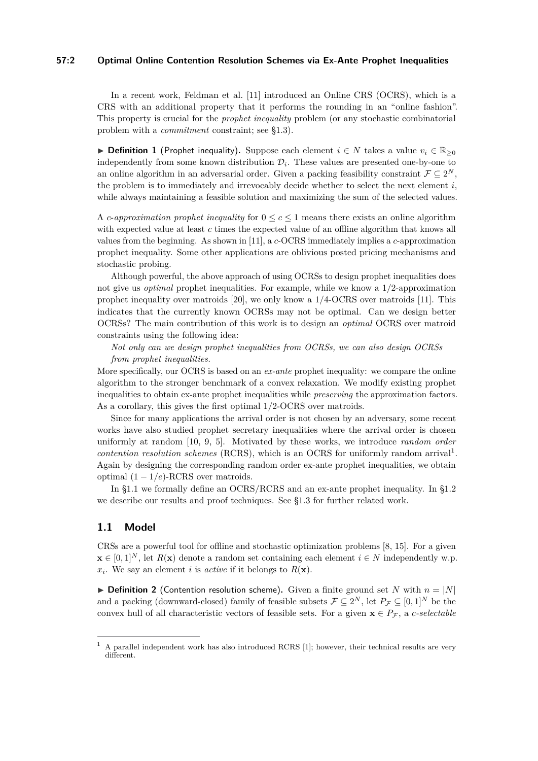# **57:2 Optimal Online Contention Resolution Schemes via Ex-Ante Prophet Inequalities**

In a recent work, Feldman et al. [\[11\]](#page-12-0) introduced an Online CRS (OCRS), which is a CRS with an additional property that it performs the rounding in an "online fashion". This property is crucial for the *prophet inequality* problem (or any stochastic combinatorial problem with a *commitment* constraint; see [§1.3\)](#page-5-0).

**► Definition 1** (Prophet inequality). Suppose each element  $i \in N$  takes a value  $v_i \in \mathbb{R}_{\geq 0}$ independently from some known distribution  $\mathcal{D}_i$ . These values are presented one-by-one to an online algorithm in an adversarial order. Given a packing feasibility constraint  $\mathcal{F} \subseteq 2^N$ , the problem is to immediately and irrevocably decide whether to select the next element  $i$ , while always maintaining a feasible solution and maximizing the sum of the selected values.

A *c*-*approximation prophet inequality* for  $0 \leq c \leq 1$  means there exists an online algorithm with expected value at least *c* times the expected value of an offline algorithm that knows all values from the beginning. As shown in [\[11\]](#page-12-0), a *c*-OCRS immediately implies a *c*-approximation prophet inequality. Some other applications are oblivious posted pricing mechanisms and stochastic probing.

Although powerful, the above approach of using OCRSs to design prophet inequalities does not give us *optimal* prophet inequalities. For example, while we know a 1*/*2-approximation prophet inequality over matroids [\[20\]](#page-13-1), we only know a 1*/*4-OCRS over matroids [\[11\]](#page-12-0). This indicates that the currently known OCRSs may not be optimal. Can we design better OCRSs? The main contribution of this work is to design an *optimal* OCRS over matroid constraints using the following idea:

*Not only can we design prophet inequalities from OCRSs, we can also design OCRSs from prophet inequalities.*

More specifically, our OCRS is based on an *ex-ante* prophet inequality: we compare the online algorithm to the stronger benchmark of a convex relaxation. We modify existing prophet inequalities to obtain ex-ante prophet inequalities while *preserving* the approximation factors. As a corollary, this gives the first optimal 1*/*2-OCRS over matroids.

Since for many applications the arrival order is not chosen by an adversary, some recent works have also studied prophet secretary inequalities where the arrival order is chosen uniformly at random [\[10,](#page-12-2) [9,](#page-12-3) [5\]](#page-12-4). Motivated by these works, we introduce *random order contention resolution schemes* (RCRS), which is an OCRS for uniformly random arrival<sup>[1](#page-1-0)</sup>. Again by designing the corresponding random order ex-ante prophet inequalities, we obtain optimal (1 − 1*/e*)-RCRS over matroids.

In [§1.1](#page-1-1) we formally define an OCRS/RCRS and an ex-ante prophet inequality. In [§1.2](#page-3-0) we describe our results and proof techniques. See [§1.3](#page-5-0) for further related work.

# <span id="page-1-1"></span>**1.1 Model**

CRSs are a powerful tool for offline and stochastic optimization problems [\[8,](#page-12-1) [15\]](#page-12-5). For a given **x** ∈ [0, 1]<sup>*N*</sup>, let *R*(**x**) denote a random set containing each element *i* ∈ *N* independently w.p.  $x_i$ . We say an element *i* is *active* if it belongs to  $R(\mathbf{x})$ .

 $\triangleright$  **Definition 2** (Contention resolution scheme). Given a finite ground set *N* with  $n = |N|$ and a packing (downward-closed) family of feasible subsets  $\mathcal{F} \subseteq 2^N$ , let  $P_{\mathcal{F}} \subseteq [0,1]^N$  be the convex hull of all characteristic vectors of feasible sets. For a given  $\mathbf{x} \in P_{\mathcal{F}}$ , a *c*-selectable

<span id="page-1-0"></span><sup>1</sup> A parallel independent work has also introduced RCRS [\[1\]](#page-11-0); however, their technical results are very different.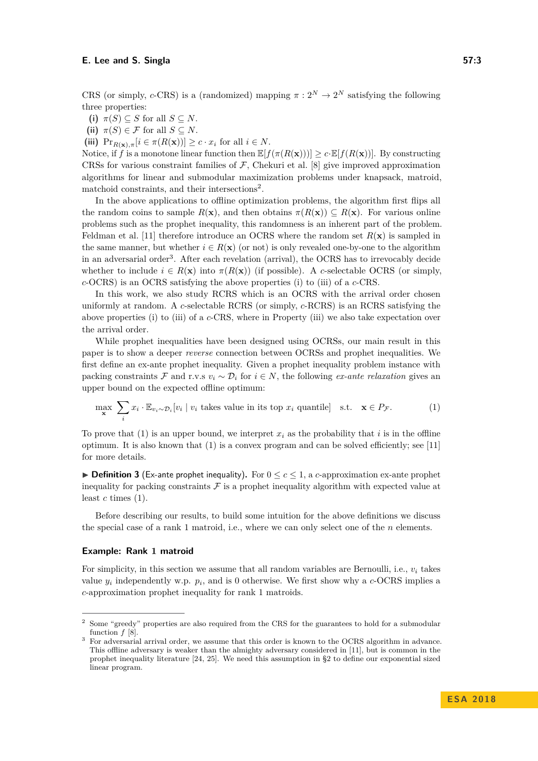CRS (or simply, *c*-CRS) is a (randomized) mapping  $\pi : 2^N \to 2^N$  satisfying the following three properties:

<span id="page-2-2"></span>**(i)**  $\pi(S) \subseteq S$  for all  $S \subseteq N$ .

(ii)  $\pi(S) \in \mathcal{F}$  for all  $S \subseteq N$ .

<span id="page-2-3"></span>(iii)  $\Pr_{R(\mathbf{x}), \pi}[i \in \pi(R(\mathbf{x}))] \geq c \cdot x_i$  for all  $i \in N$ .

Notice, if *f* is a monotone linear function then  $\mathbb{E}[f(\pi(R(\mathbf{x})))] > c \cdot \mathbb{E}[f(R(\mathbf{x}))]$ . By constructing CRSs for various constraint families of  $\mathcal F$ , Chekuri et al. [\[8\]](#page-12-1) give improved approximation algorithms for linear and submodular maximization problems under knapsack, matroid, matchoid constraints, and their intersections<sup>[2](#page-2-0)</sup>.

In the above applications to offline optimization problems, the algorithm first flips all the random coins to sample  $R(\mathbf{x})$ , and then obtains  $\pi(R(\mathbf{x})) \subseteq R(\mathbf{x})$ . For various online problems such as the prophet inequality, this randomness is an inherent part of the problem. Feldman et al. [\[11\]](#page-12-0) therefore introduce an OCRS where the random set  $R(\mathbf{x})$  is sampled in the same manner, but whether  $i \in R(\mathbf{x})$  (or not) is only revealed one-by-one to the algorithm in an adversarial order<sup>[3](#page-2-1)</sup>. After each revelation (arrival), the OCRS has to irrevocably decide whether to include  $i \in R(\mathbf{x})$  into  $\pi(R(\mathbf{x}))$  (if possible). A *c*-selectable OCRS (or simply, *c*-OCRS) is an OCRS satisfying the above properties [\(i\)](#page-2-2) to [\(iii\)](#page-2-3) of a *c*-CRS.

In this work, we also study RCRS which is an OCRS with the arrival order chosen uniformly at random. A *c*-selectable RCRS (or simply, *c*-RCRS) is an RCRS satisfying the above properties [\(i\)](#page-2-2) to [\(iii\)](#page-2-3) of a *c*-CRS, where in Property [\(iii\)](#page-2-3) we also take expectation over the arrival order.

While prophet inequalities have been designed using OCRSs, our main result in this paper is to show a deeper *reverse* connection between OCRSs and prophet inequalities. We first define an ex-ante prophet inequality. Given a prophet inequality problem instance with packing constraints F and r.v.s  $v_i \sim \mathcal{D}_i$  for  $i \in N$ , the following *ex-ante relaxation* gives an upper bound on the expected offline optimum:

<span id="page-2-4"></span>
$$
\max_{\mathbf{x}} \sum_{i} x_i \cdot \mathbb{E}_{v_i \sim \mathcal{D}_i}[v_i \mid v_i \text{ takes value in its top } x_i \text{ quantile}] \quad \text{s.t.} \quad \mathbf{x} \in P_{\mathcal{F}}.\tag{1}
$$

To prove that [\(1\)](#page-2-4) is an upper bound, we interpret  $x_i$  as the probability that *i* is in the offline optimum. It is also known that  $(1)$  is a convex program and can be solved efficiently; see [\[11\]](#page-12-0) for more details.

 $\triangleright$  **Definition 3** (Ex-ante prophet inequality). For  $0 \leq c \leq 1$ , a *c*-approximation ex-ante prophet inequality for packing constraints  $\mathcal F$  is a prophet inequality algorithm with expected value at least  $c$  times  $(1)$ .

Before describing our results, to build some intuition for the above definitions we discuss the special case of a rank 1 matroid, i.e., where we can only select one of the *n* elements.

#### **Example: Rank 1 matroid**

For simplicity, in this section we assume that all random variables are Bernoulli, i.e.,  $v_i$  takes value  $y_i$  independently w.p.  $p_i$ , and is 0 otherwise. We first show why a *c*-OCRS implies a *c*-approximation prophet inequality for rank 1 matroids.

<span id="page-2-0"></span><sup>2</sup> Some "greedy" properties are also required from the CRS for the guarantees to hold for a submodular function *f* [\[8\]](#page-12-1).

<span id="page-2-1"></span><sup>&</sup>lt;sup>3</sup> For adversarial arrival order, we assume that this order is known to the OCRS algorithm in advance. This offline adversary is weaker than the almighty adversary considered in [\[11\]](#page-12-0), but is common in the prophet inequality literature [\[24,](#page-13-2) [25\]](#page-13-3). We need this assumption in [§2](#page-5-1) to define our exponential sized linear program.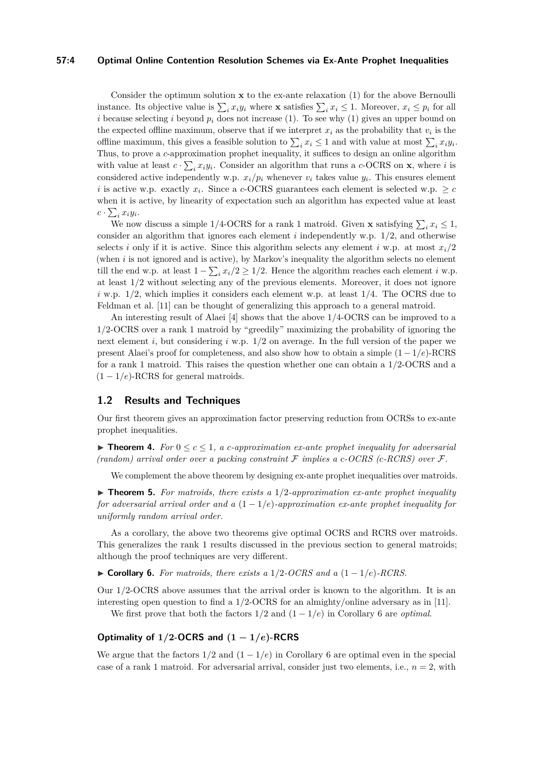### **57:4 Optimal Online Contention Resolution Schemes via Ex-Ante Prophet Inequalities**

Consider the optimum solution **x** to the ex-ante relaxation [\(1\)](#page-2-4) for the above Bernoulli instance. Its objective value is  $\sum_i x_i y_i$  where **x** satisfies  $\sum_i x_i \leq 1$ . Moreover,  $x_i \leq p_i$  for all *i* because selecting *i* beyond  $p_i$  does not increase [\(1\)](#page-2-4). To see why (1) gives an upper bound on the expected offline maximum, observe that if we interpret  $x_i$  as the probability that  $v_i$  is the offline maximum, this gives a feasible solution to  $\sum_i x_i \leq 1$  and with value at most  $\sum_i x_i y_i$ . Thus, to prove a *c*-approximation prophet inequality, it suffices to design an online algorithm with value at least  $c \cdot \sum_i x_i y_i$ . Consider an algorithm that runs a *c*-OCRS on **x**, where *i* is considered active independently w.p.  $x_i/p_i$  whenever  $v_i$  takes value  $y_i$ . This ensures element *i* is active w.p. exactly  $x_i$ . Since a *c*-OCRS guarantees each element is selected w.p.  $\geq c$ when it is active, by linearity of expectation such an algorithm has expected value at least  $c \cdot \sum_i x_i y_i$ .

We now discuss a simple 1/4-OCRS for a rank 1 matroid. Given **x** satisfying  $\sum_i x_i \leq 1$ , consider an algorithm that ignores each element *i* independently w.p. 1*/*2, and otherwise selects *i* only if it is active. Since this algorithm selects any element *i* w.p. at most  $x_i/2$ (when *i* is not ignored and is active), by Markov's inequality the algorithm selects no element till the end w.p. at least  $1 - \sum_i x_i/2 \geq 1/2$ . Hence the algorithm reaches each element *i* w.p. at least 1*/*2 without selecting any of the previous elements. Moreover, it does not ignore *i* w.p. 1*/*2, which implies it considers each element w.p. at least 1*/*4. The OCRS due to Feldman et al. [\[11\]](#page-12-0) can be thought of generalizing this approach to a general matroid.

An interesting result of Alaei [\[4\]](#page-12-6) shows that the above 1*/*4-OCRS can be improved to a 1*/*2-OCRS over a rank 1 matroid by "greedily" maximizing the probability of ignoring the next element *i*, but considering *i* w.p. 1*/*2 on average. In the full version of the paper we present Alaei's proof for completeness, and also show how to obtain a simple (1 − 1*/e*)-RCRS for a rank 1 matroid. This raises the question whether one can obtain a 1*/*2-OCRS and a  $(1 - 1/e)$ -RCRS for general matroids.

### <span id="page-3-0"></span>**1.2 Results and Techniques**

Our first theorem gives an approximation factor preserving reduction from OCRSs to ex-ante prophet inequalities.

<span id="page-3-2"></span>**Figure 1.** For  $0 \leq c \leq 1$ , a *c*-approximation ex-ante prophet inequality for adversarial  $(random)$  arrival order over a packing constraint  $\mathcal F$  implies a c-OCRS (c-RCRS) over  $\mathcal F$ .

We complement the above theorem by designing ex-ante prophet inequalities over matroids.

<span id="page-3-3"></span> $\triangleright$  **Theorem 5.** For matroids, there exists a 1/2-approximation ex-ante prophet inequality *for adversarial arrival order and a* (1 − 1*/e*)*-approximation ex-ante prophet inequality for uniformly random arrival order.*

As a corollary, the above two theorems give optimal OCRS and RCRS over matroids. This generalizes the rank 1 results discussed in the previous section to general matroids; although the proof techniques are very different.

<span id="page-3-1"></span> $\triangleright$  **Corollary 6.** *For matroids, there exists a* 1/2*-OCRS and a* (1 − 1/*e*)*-RCRS.* 

Our 1*/*2-OCRS above assumes that the arrival order is known to the algorithm. It is an interesting open question to find a 1*/*2-OCRS for an almighty/online adversary as in [\[11\]](#page-12-0).

We first prove that both the factors  $1/2$  and  $(1 - 1/e)$  in Corollary [6](#page-3-1) are *optimal*.

# **Optimality of**  $1/2$ **-OCRS** and  $(1 - 1/e)$ **-RCRS**

We argue that the factors  $1/2$  and  $(1 - 1/e)$  in Corollary [6](#page-3-1) are optimal even in the special case of a rank 1 matroid. For adversarial arrival, consider just two elements, i.e.,  $n = 2$ , with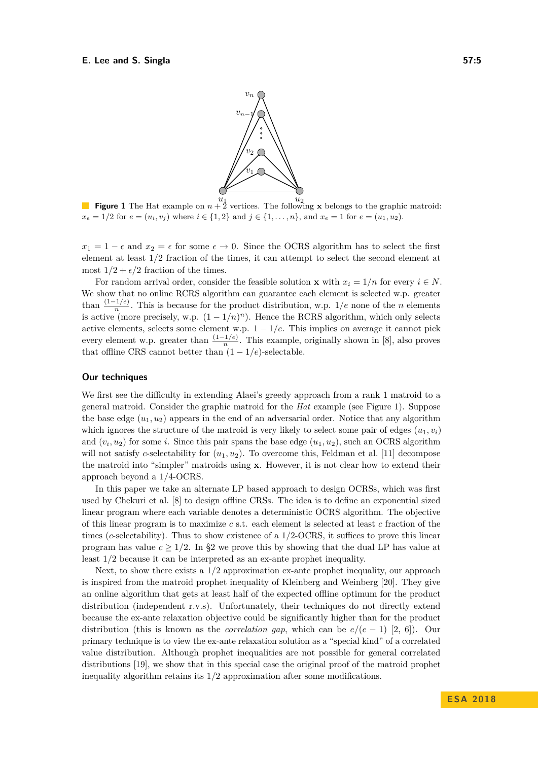

<span id="page-4-0"></span>**Figure 1** The Hat example on  $n + 2$  vertices. The following **x** belongs to the graphic matroid:  $x_e = 1/2$  for  $e = (u_i, v_j)$  where  $i \in \{1, 2\}$  and  $j \in \{1, \ldots, n\}$ , and  $x_e = 1$  for  $e = (u_1, u_2)$ .

 $x_1 = 1 - \epsilon$  and  $x_2 = \epsilon$  for some  $\epsilon \to 0$ . Since the OCRS algorithm has to select the first element at least 1*/*2 fraction of the times, it can attempt to select the second element at most  $1/2 + \epsilon/2$  fraction of the times.

For random arrival order, consider the feasible solution **x** with  $x_i = 1/n$  for every  $i \in N$ . We show that no online RCRS algorithm can guarantee each element is selected w.p. greater than  $\frac{(1-1/e)}{n}$ . This is because for the product distribution, w.p. 1/*e* none of the *n* elements is active (more precisely, w.p.  $(1 - 1/n)^n$ ). Hence the RCRS algorithm, which only selects active elements, selects some element w.p.  $1 - 1/e$ . This implies on average it cannot pick every element w.p. greater than  $\frac{(1-1/e)}{n}$ . This example, originally shown in [\[8\]](#page-12-1), also proves that offline CRS cannot better than  $(1 - 1/e)$ -selectable.

### **Our techniques**

We first see the difficulty in extending Alaei's greedy approach from a rank 1 matroid to a general matroid. Consider the graphic matroid for the *Hat* example (see Figure [1\)](#page-4-0). Suppose the base edge  $(u_1, u_2)$  appears in the end of an adversarial order. Notice that any algorithm which ignores the structure of the matroid is very likely to select some pair of edges  $(u_1, v_i)$ and  $(v_i, u_2)$  for some *i*. Since this pair spans the base edge  $(u_1, u_2)$ , such an OCRS algorithm will not satisfy *c*-selectability for  $(u_1, u_2)$ . To overcome this, Feldman et al. [\[11\]](#page-12-0) decompose the matroid into "simpler" matroids using **x**. However, it is not clear how to extend their approach beyond a 1*/*4-OCRS.

In this paper we take an alternate LP based approach to design OCRSs, which was first used by Chekuri et al. [\[8\]](#page-12-1) to design offline CRSs. The idea is to define an exponential sized linear program where each variable denotes a deterministic OCRS algorithm. The objective of this linear program is to maximize *c* s.t. each element is selected at least *c* fraction of the times (*c*-selectability). Thus to show existence of a 1*/*2-OCRS, it suffices to prove this linear program has value  $c \geq 1/2$ . In [§2](#page-5-1) we prove this by showing that the dual LP has value at least 1*/*2 because it can be interpreted as an ex-ante prophet inequality.

Next, to show there exists a 1*/*2 approximation ex-ante prophet inequality, our approach is inspired from the matroid prophet inequality of Kleinberg and Weinberg [\[20\]](#page-13-1). They give an online algorithm that gets at least half of the expected offline optimum for the product distribution (independent r.v.s). Unfortunately, their techniques do not directly extend because the ex-ante relaxation objective could be significantly higher than for the product distribution (this is known as the *correlation gap*, which can be  $e/(e-1)$  [\[2,](#page-11-1) [6\]](#page-12-7)). Our primary technique is to view the ex-ante relaxation solution as a "special kind" of a correlated value distribution. Although prophet inequalities are not possible for general correlated distributions [\[19\]](#page-12-8), we show that in this special case the original proof of the matroid prophet inequality algorithm retains its 1*/*2 approximation after some modifications.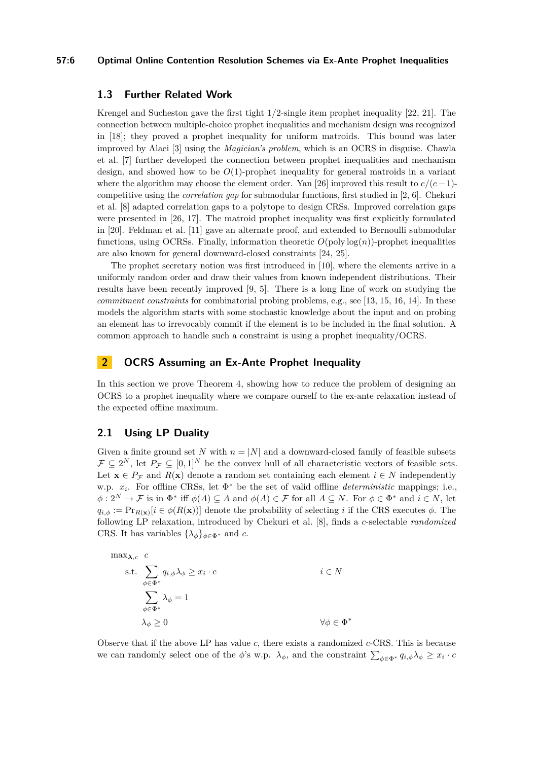### **57:6 Optimal Online Contention Resolution Schemes via Ex-Ante Prophet Inequalities**

# <span id="page-5-0"></span>**1.3 Further Related Work**

Krengel and Sucheston gave the first tight 1*/*2-single item prophet inequality [\[22,](#page-13-4) [21\]](#page-13-5). The connection between multiple-choice prophet inequalities and mechanism design was recognized in [\[18\]](#page-12-9); they proved a prophet inequality for uniform matroids. This bound was later improved by Alaei [\[3\]](#page-12-10) using the *Magician's problem*, which is an OCRS in disguise. Chawla et al. [\[7\]](#page-12-11) further developed the connection between prophet inequalities and mechanism design, and showed how to be *O*(1)-prophet inequality for general matroids in a variant where the algorithm may choose the element order. Yan [\[26\]](#page-13-6) improved this result to *e/*(*e*−1) competitive using the *correlation gap* for submodular functions, first studied in [\[2,](#page-11-1) [6\]](#page-12-7). Chekuri et al. [\[8\]](#page-12-1) adapted correlation gaps to a polytope to design CRSs. Improved correlation gaps were presented in [\[26,](#page-13-6) [17\]](#page-12-12). The matroid prophet inequality was first explicitly formulated in [\[20\]](#page-13-1). Feldman et al. [\[11\]](#page-12-0) gave an alternate proof, and extended to Bernoulli submodular functions, using OCRSs. Finally, information theoretic *O*(poly log(*n*))-prophet inequalities are also known for general downward-closed constraints [\[24,](#page-13-2) [25\]](#page-13-3).

The prophet secretary notion was first introduced in [\[10\]](#page-12-2), where the elements arrive in a uniformly random order and draw their values from known independent distributions. Their results have been recently improved [\[9,](#page-12-3) [5\]](#page-12-4). There is a long line of work on studying the *commitment constraints* for combinatorial probing problems, e.g., see [\[13,](#page-12-13) [15,](#page-12-5) [16,](#page-12-14) [14\]](#page-12-15). In these models the algorithm starts with some stochastic knowledge about the input and on probing an element has to irrevocably commit if the element is to be included in the final solution. A common approach to handle such a constraint is using a prophet inequality/OCRS.

# <span id="page-5-1"></span>**2 OCRS Assuming an Ex-Ante Prophet Inequality**

In this section we prove Theorem [4,](#page-3-2) showing how to reduce the problem of designing an OCRS to a prophet inequality where we compare ourself to the ex-ante relaxation instead of the expected offline maximum.

# **2.1 Using LP Duality**

Given a finite ground set N with  $n = |N|$  and a downward-closed family of feasible subsets  $\mathcal{F} \subseteq 2^N$ , let  $P_{\mathcal{F}} \subseteq [0,1]^N$  be the convex hull of all characteristic vectors of feasible sets. Let  $\mathbf{x} \in P_{\mathcal{F}}$  and  $R(\mathbf{x})$  denote a random set containing each element  $i \in N$  independently w.p. *x<sup>i</sup>* . For offline CRSs, let Φ <sup>∗</sup> be the set of valid offline *deterministic* mappings; i.e.,  $\phi: 2^N \to \mathcal{F}$  is in  $\Phi^*$  iff  $\phi(A) \subseteq A$  and  $\phi(A) \in \mathcal{F}$  for all  $A \subseteq N$ . For  $\phi \in \Phi^*$  and  $i \in N$ , let  $q_{i,\phi} := \Pr_{R(\mathbf{x})}[i \in \phi(R(\mathbf{x}))]$  denote the probability of selecting *i* if the CRS executes  $\phi$ . The following LP relaxation, introduced by Chekuri et al. [\[8\]](#page-12-1), finds a *c*-selectable *randomized* CRS. It has variables  $\{\lambda_{\phi}\}_{\phi \in \Phi^*}$  and *c*.

$$
\max_{\lambda,c} c
$$

s.t. 
$$
\sum_{\phi \in \Phi^*} q_{i,\phi} \lambda_{\phi} \ge x_i \cdot c
$$
  $i \in N$   

$$
\sum_{\phi \in \Phi^*} \lambda_{\phi} = 1
$$
  

$$
\lambda_{\phi} \ge 0
$$
  $\forall \phi \in \Phi^*$ 

Observe that if the above LP has value *c*, there exists a randomized *c*-CRS. This is because we can randomly select one of the *φ*'s w.p.  $\lambda_{\phi}$ , and the constraint  $\sum_{\phi \in \Phi^*} q_{i,\phi} \lambda_{\phi} \geq x_i \cdot c$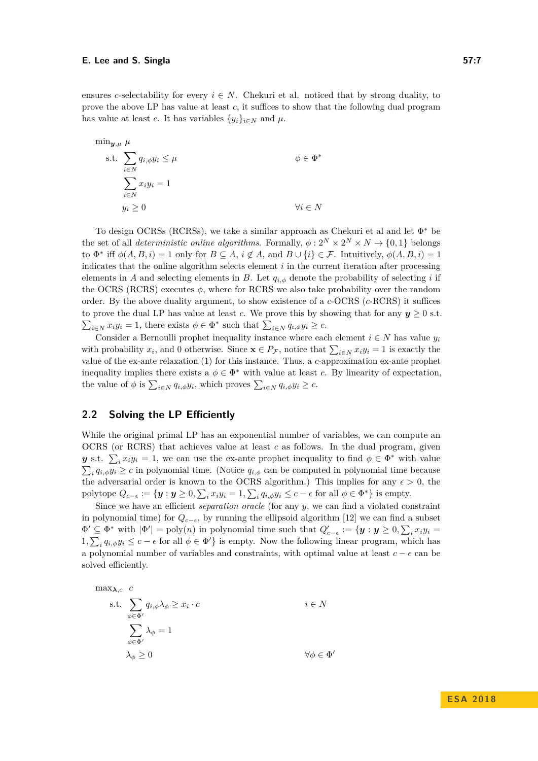ensures *c*-selectability for every  $i \in N$ . Chekuri et al. noticed that by strong duality, to prove the above LP has value at least *c*, it suffices to show that the following dual program has value at least *c*. It has variables  $\{y_i\}_{i \in N}$  and  $\mu$ .

$$
\min_{\mathbf{y},\mu} \mu
$$
\n
$$
\text{s.t.} \sum_{i \in N} q_{i,\phi} y_i \le \mu
$$
\n
$$
\sum_{i \in N} x_i y_i = 1
$$
\n
$$
y_i \ge 0
$$
\n
$$
\forall i \in N
$$

To design OCRSs (RCRSs), we take a similar approach as Chekuri et al and let  $\Phi^*$  be the set of all *deterministic online algorithms*. Formally,  $\phi: 2^N \times 2^N \times N \rightarrow \{0,1\}$  belongs to  $\Phi^*$  iff  $\phi(A, B, i) = 1$  only for  $B \subseteq A$ ,  $i \notin A$ , and  $B \cup \{i\} \in \mathcal{F}$ . Intuitively,  $\phi(A, B, i) = 1$ indicates that the online algorithm selects element *i* in the current iteration after processing elements in *A* and selecting elements in *B*. Let  $q_{i, \phi}$  denote the probability of selecting *i* if the OCRS (RCRS) executes  $\phi$ , where for RCRS we also take probability over the random order. By the above duality argument, to show existence of a *c*-OCRS (*c*-RCRS) it suffices to prove the dual LP has value at least *c*. We prove this by showing that for any  $y > 0$  s.t.  $\sum_{i \in N} x_i y_i = 1$ , there exists  $\phi \in \Phi^*$  such that  $\sum_{i \in N} q_{i,\phi} y_i \ge c$ .

Consider a Bernoulli prophet inequality instance where each element  $i \in N$  has value  $y_i$ with probability  $x_i$ , and 0 otherwise. Since  $\mathbf{x} \in P_{\mathcal{F}}$ , notice that  $\sum_{i \in N} x_i y_i = 1$  is exactly the value of the ex-ante relaxation [\(1\)](#page-2-4) for this instance. Thus, a *c*-approximation ex-ante prophet inequality implies there exists a  $\phi \in \Phi^*$  with value at least *c*. By linearity of expectation, the value of  $\phi$  is  $\sum_{i \in N} q_{i,\phi} y_i$ , which proves  $\sum_{i \in N} q_{i,\phi} y_i \geq c$ .

# **2.2 Solving the LP Efficiently**

While the original primal LP has an exponential number of variables, we can compute an OCRS (or RCRS) that achieves value at least *c* as follows. In the dual program, given *y* s.t.  $\sum_i x_i y_i = 1$ , we can use the ex-ante prophet inequality to find  $\phi \in \Phi^*$  with value  $\sum_i q_{i,\phi} y_i \geq c$  in polynomial time. (Notice  $q_{i,\phi}$  can be computed in polynomial time because the adversarial order is known to the OCRS algorithm.) This implies for any  $\epsilon > 0$ , the polytope  $Q_{c-\epsilon} := \{ \mathbf{y} : \mathbf{y} \geq 0, \sum_i x_i y_i = 1, \sum_i q_{i,\phi} y_i \leq c - \epsilon \text{ for all } \phi \in \Phi^* \}$  is empty.

Since we have an efficient *separation oracle* (for any *y*, we can find a violated constraint in polynomial time) for  $Q_{c-\epsilon}$ , by running the ellipsoid algorithm [\[12\]](#page-12-16) we can find a subset  $\Phi' \subseteq \Phi^*$  with  $|\Phi'| = \text{poly}(n)$  in polynomial time such that  $Q'_{c-\epsilon} := \{ \mathbf{y} : \mathbf{y} \geq 0, \sum_i x_i y_i = 0\}$  $1, \sum_i q_{i,\phi} y_i \leq c - \epsilon$  for all  $\phi \in \Phi'$  is empty. Now the following linear program, which has a polynomial number of variables and constraints, with optimal value at least  $c - \epsilon$  can be solved efficiently.

$$
\max_{\lambda, c} c
$$
  
s.t. 
$$
\sum_{\phi \in \Phi'} q_{i, \phi} \lambda_{\phi} \geq x_i \cdot c
$$
  

$$
\sum_{\phi \in \Phi'} \lambda_{\phi} = 1
$$
  

$$
\lambda_{\phi} \geq 0
$$
  

$$
\forall \phi \in \Phi'
$$

# **E S A 2 0 1 8**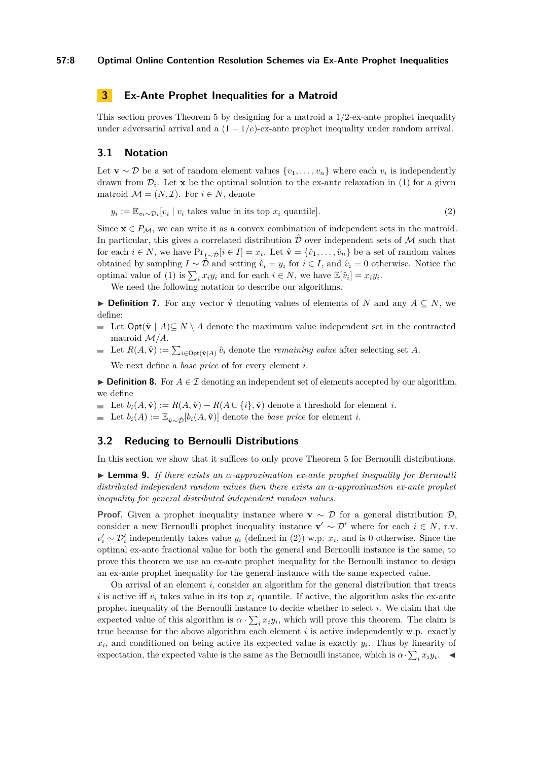# **3 Ex-Ante Prophet Inequalities for a Matroid**

This section proves Theorem [5](#page-3-3) by designing for a matroid a 1*/*2-ex-ante prophet inequality under adversarial arrival and a  $(1 - 1/e)$ -ex-ante prophet inequality under random arrival.

# <span id="page-7-1"></span>**3.1 Notation**

Let **v** ∼ D be a set of random element values  $\{v_1, \ldots, v_n\}$  where each  $v_i$  is independently drawn from  $\mathcal{D}_i$ . Let **x** be the optimal solution to the ex-ante relaxation in [\(1\)](#page-2-4) for a given matroid  $\mathcal{M} = (N, \mathcal{I})$ . For  $i \in N$ , denote

<span id="page-7-0"></span>
$$
y_i := \mathbb{E}_{v_i \sim \mathcal{D}_i}[v_i \mid v_i \text{ takes value in its top } x_i \text{ quantile}]. \tag{2}
$$

Since  $\mathbf{x} \in P_{\mathcal{M}}$ , we can write it as a convex combination of independent sets in the matroid. In particular, this gives a correlated distribution  $\tilde{\mathcal{D}}$  over independent sets of M such that for each  $i \in N$ , we have  $Pr_{I \sim \hat{D}}[i \in I] = x_i$ . Let  $\hat{\mathbf{v}} = \{\hat{v}_1, \dots, \hat{v}_n\}$  be a set of random values obtained by sampling  $I \sim \hat{\mathcal{D}}$  and setting  $\hat{v}_i = y_i$  for  $i \in I$ , and  $\hat{v}_i = 0$  otherwise. Notice the optimal value of [\(1\)](#page-2-4) is  $\sum_i x_i y_i$  and for each  $i \in N$ , we have  $\mathbb{E}[\hat{v}_i] = x_i y_i$ .

We need the following notation to describe our algorithms.

**► Definition 7.** For any vector  $\hat{\mathbf{v}}$  denoting values of elements of *N* and any  $A \subseteq N$ , we define:

- **■** Let  $\text{Opt}(\hat{\mathbf{v}} \mid A) \subseteq N \setminus A$  denote the maximum value independent set in the contracted matroid M*/A*.
- Let  $R(A, \hat{\mathbf{v}}) := \sum_{i \in \text{Opt}(\hat{\mathbf{v}}|A)} \hat{v}_i$  denote the *remaining value* after selecting set A. We next define a *base price* of for every element *i*.

**► Definition 8.** For  $A \in \mathcal{I}$  denoting an independent set of elements accepted by our algorithm, we define

- $\bullet$  Let  $b_i(A, \hat{\mathbf{v}}) := R(A, \hat{\mathbf{v}}) R(A \cup \{i\}, \hat{\mathbf{v}})$  denote a threshold for element *i*.
- **■** Let  $b_i(A) := \mathbb{E}_{\hat{\mathbf{v}} \sim \hat{\mathcal{D}}}[b_i(A, \hat{\mathbf{v}})]$  denote the *base price* for element *i*.

# **3.2 Reducing to Bernoulli Distributions**

In this section we show that it suffices to only prove Theorem [5](#page-3-3) for Bernoulli distributions.

<span id="page-7-2"></span>I **Lemma 9.** *If there exists an α-approximation ex-ante prophet inequality for Bernoulli distributed independent random values then there exists an α-approximation ex-ante prophet inequality for general distributed independent random values.*

**Proof.** Given a prophet inequality instance where **v** ~  $\mathcal{D}$  for a general distribution  $\mathcal{D}$ , consider a new Bernoulli prophet inequality instance  $\mathbf{v}' \sim \mathcal{D}'$  where for each  $i \in N$ , r.v.  $v'_i \sim \mathcal{D}'_i$  independently takes value  $y_i$  (defined in [\(2\)](#page-7-0)) w.p.  $x_i$ , and is 0 otherwise. Since the optimal ex-ante fractional value for both the general and Bernoulli instance is the same, to prove this theorem we use an ex-ante prophet inequality for the Bernoulli instance to design an ex-ante prophet inequality for the general instance with the same expected value.

On arrival of an element *i*, consider an algorithm for the general distribution that treats *i* is active iff  $v_i$  takes value in its top  $x_i$  quantile. If active, the algorithm asks the ex-ante prophet inequality of the Bernoulli instance to decide whether to select *i*. We claim that the expected value of this algorithm is  $\alpha \cdot \sum_i x_i y_i$ , which will prove this theorem. The claim is true because for the above algorithm each element *i* is active independently w.p. exactly  $x_i$ , and conditioned on being active its expected value is exactly  $y_i$ . Thus by linearity of expectation, the expected value is the same as the Bernoulli instance, which is  $\alpha \cdot \sum_i x_i y_i$ .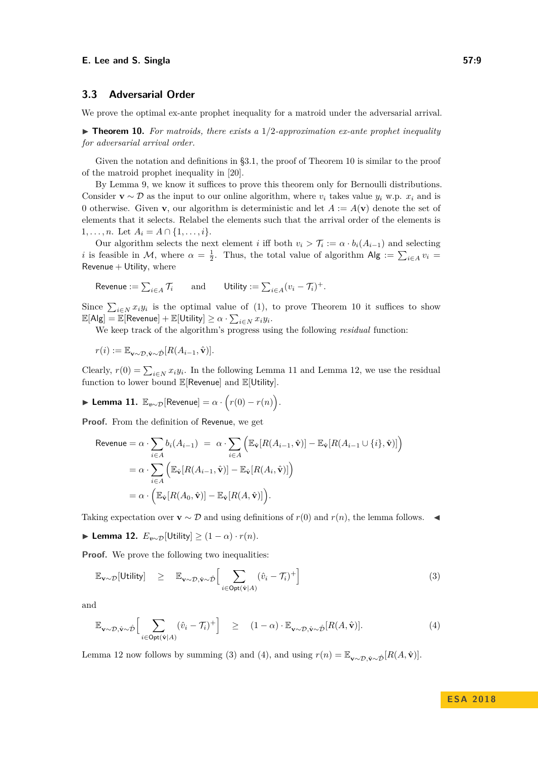#### **E.** Lee and S. Singla 57:9

# <span id="page-8-5"></span>**3.3 Adversarial Order**

We prove the optimal ex-ante prophet inequality for a matroid under the adversarial arrival.

<span id="page-8-0"></span> $\triangleright$  **Theorem 10.** For matroids, there exists a  $1/2$ -approximation ex-ante prophet inequality *for adversarial arrival order.*

Given the notation and definitions in [§3.1,](#page-7-1) the proof of Theorem [10](#page-8-0) is similar to the proof of the matroid prophet inequality in [\[20\]](#page-13-1).

By Lemma [9,](#page-7-2) we know it suffices to prove this theorem only for Bernoulli distributions. Consider  $\mathbf{v} \sim \mathcal{D}$  as the input to our online algorithm, where  $v_i$  takes value  $y_i$  w.p.  $x_i$  and is 0 otherwise. Given **v**, our algorithm is deterministic and let  $A := A(\mathbf{v})$  denote the set of elements that it selects. Relabel the elements such that the arrival order of the elements is 1, ..., *n*. Let  $A_i = A \cap \{1, \ldots, i\}$ .

Our algorithm selects the next element *i* iff both  $v_i > \mathcal{T}_i := \alpha \cdot b_i(A_{i-1})$  and selecting *i* is feasible in M, where  $\alpha = \frac{1}{2}$ . Thus, the total value of algorithm  $\mathsf{Alg} := \sum_{i \in A} v_i =$ Revenue  $+$  Utility, where

$$
\text{Revenue} := \sum_{i \in A} \mathcal{T}_i \qquad \text{and} \qquad \text{Utility} := \sum_{i \in A} (v_i - \mathcal{T}_i)^+.
$$

Since  $\sum_{i\in\mathbb{N}} x_i y_i$  is the optimal value of [\(1\)](#page-2-4), to prove Theorem [10](#page-8-0) it suffices to show  $\mathbb{E}[\mathsf{Alg}] = \overline{\mathbb{E}}[\mathsf{Revenue}] + \mathbb{E}[\mathsf{Utility}] \geq \alpha \cdot \sum_{i \in N} x_i y_i.$ 

We keep track of the algorithm's progress using the following *residual* function:

$$
r(i) := \mathbb{E}_{\mathbf{v} \sim \mathcal{D}, \hat{\mathbf{v}} \sim \hat{\mathcal{D}}}[R(A_{i-1}, \hat{\mathbf{v}})].
$$

Clearly,  $r(0) = \sum_{i \in N} x_i y_i$ . In the following Lemma [11](#page-8-1) and Lemma [12,](#page-8-2) we use the residual function to lower bound  $\mathbb{E}[\mathsf{Revenue}]$  and  $\mathbb{E}[\mathsf{Utility}].$ 

<span id="page-8-1"></span>
$$
\blacktriangleright \textbf{Lemma 11. } \mathbb{E}_{v \sim \mathcal{D}}[\text{Revenue}] = \alpha \cdot \Big( r(0) - r(n) \Big).
$$

**Proof.** From the definition of Revenue, we get

$$
\begin{aligned} \text{Revenue} &= \alpha \cdot \sum_{i \in A} b_i(A_{i-1}) \ = \ \alpha \cdot \sum_{i \in A} \Big( \mathbb{E}_{\hat{\mathbf{v}}}[R(A_{i-1}, \hat{\mathbf{v}})] - \mathbb{E}_{\hat{\mathbf{v}}}[R(A_{i-1} \cup \{i\}, \hat{\mathbf{v}})] \Big) \\ &= \alpha \cdot \sum_{i \in A} \Big( \mathbb{E}_{\hat{\mathbf{v}}}[R(A_{i-1}, \hat{\mathbf{v}})] - \mathbb{E}_{\hat{\mathbf{v}}}[R(A_i, \hat{\mathbf{v}})] \Big) \\ &= \alpha \cdot \Big( \mathbb{E}_{\hat{\mathbf{v}}}[R(A_0, \hat{\mathbf{v}})] - \mathbb{E}_{\hat{\mathbf{v}}}[R(A, \hat{\mathbf{v}})] \Big). \end{aligned}
$$

Taking expectation over **v** ∼ D and using definitions of  $r(0)$  and  $r(n)$ , the lemma follows.  $\blacktriangleleft$ 

<span id="page-8-2"></span> $\blacktriangleright$  **Lemma 12.**  $E_{v \sim \mathcal{D}}$  [Utility] ≥ (1 − *α*) · *r*(*n*).

**Proof.** We prove the following two inequalities:

<span id="page-8-3"></span>
$$
\mathbb{E}_{\mathbf{v} \sim \mathcal{D}}[\text{Utility}] \geq \mathbb{E}_{\mathbf{v} \sim \mathcal{D}, \hat{\mathbf{v}} \sim \hat{\mathcal{D}}} \Big[ \sum_{i \in \text{Opt}(\hat{\mathbf{v}}|A)} (\hat{v}_i - \mathcal{T}_i)^+ \Big] \tag{3}
$$

<span id="page-8-4"></span>and

$$
\mathbb{E}_{\mathbf{v}\sim\mathcal{D},\hat{\mathbf{v}}\sim\hat{\mathcal{D}}} \Big[ \sum_{i\in\text{Opt}(\hat{\mathbf{v}}|A)} (\hat{v}_i - \mathcal{T}_i)^+ \Big] \quad \geq \quad (1-\alpha) \cdot \mathbb{E}_{\mathbf{v}\sim\mathcal{D},\hat{\mathbf{v}}\sim\hat{\mathcal{D}}}[R(A,\hat{\mathbf{v}})]. \tag{4}
$$

Lemma [12](#page-8-2) now follows by summing [\(3\)](#page-8-3) and [\(4\)](#page-8-4), and using  $r(n) = \mathbb{E}_{\mathbf{v} \sim \mathcal{D}, \hat{\mathbf{v}} \sim \hat{\mathcal{D}}}[R(A, \hat{\mathbf{v}})].$ 

**E S A 2 0 1 8**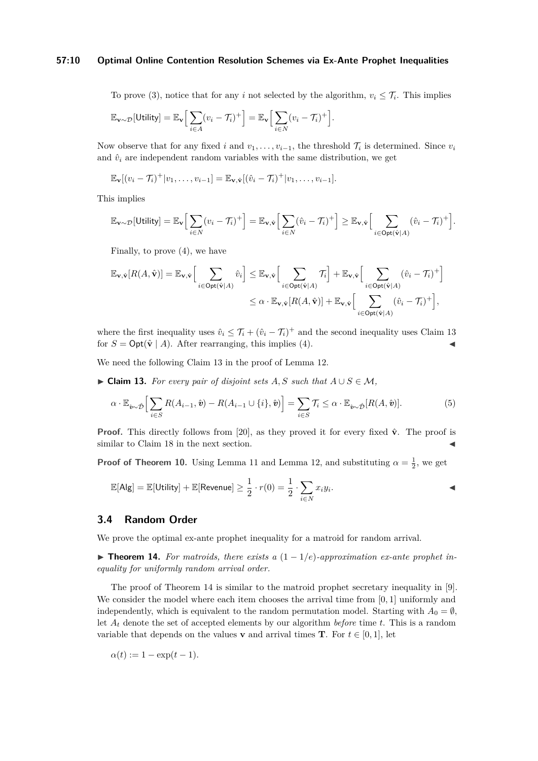## **57:10 Optimal Online Contention Resolution Schemes via Ex-Ante Prophet Inequalities**

To prove [\(3\)](#page-8-3), notice that for any *i* not selected by the algorithm,  $v_i \leq \mathcal{T}_i$ . This implies

$$
\mathbb{E}_{\mathbf{v}\sim\mathcal{D}}[\text{Utility}] = \mathbb{E}_{\mathbf{v}}\Big[\sum_{i\in A}(v_i-\mathcal{T}_i)^+\Big] = \mathbb{E}_{\mathbf{v}}\Big[\sum_{i\in N}(v_i-\mathcal{T}_i)^+\Big].
$$

Now observe that for any fixed *i* and  $v_1, \ldots, v_{i-1}$ , the threshold  $\mathcal{T}_i$  is determined. Since  $v_i$ and  $\hat{v}_i$  are independent random variables with the same distribution, we get

$$
\mathbb{E}_{\mathbf{v}}[(v_i-\mathcal{T}_i)^+|v_1,\ldots,v_{i-1}] = \mathbb{E}_{\mathbf{v},\hat{\mathbf{v}}}[(\hat{v}_i-\mathcal{T}_i)^+|v_1,\ldots,v_{i-1}].
$$

This implies

$$
\mathbb{E}_{\mathbf{v}\sim\mathcal{D}}[\mathsf{Utility}] = \mathbb{E}_{\mathbf{v}}\Big[\sum_{i\in N}(v_i-\mathcal{T}_i)^+\Big] = \mathbb{E}_{\mathbf{v},\hat{\mathbf{v}}}\Big[\sum_{i\in N}(\hat{v}_i-\mathcal{T}_i)^+\Big] \geq \mathbb{E}_{\mathbf{v},\hat{\mathbf{v}}}\Big[\sum_{i\in \mathsf{Opt}(\hat{\mathbf{v}}|\mathcal{A})}(\hat{v}_i-\mathcal{T}_i)^+\Big].
$$

Finally, to prove [\(4\)](#page-8-4), we have

$$
\mathbb{E}_{\mathbf{v},\hat{\mathbf{v}}}[R(A,\hat{\mathbf{v}})] = \mathbb{E}_{\mathbf{v},\hat{\mathbf{v}}}\Big[\sum_{i\in\text{Opt}(\hat{\mathbf{v}}|A)} \hat{v}_i\Big] \leq \mathbb{E}_{\mathbf{v},\hat{\mathbf{v}}}\Big[\sum_{i\in\text{Opt}(\hat{\mathbf{v}}|A)} \mathcal{T}_i\Big] + \mathbb{E}_{\mathbf{v},\hat{\mathbf{v}}}\Big[\sum_{i\in\text{Opt}(\hat{\mathbf{v}}|A)} (\hat{v}_i - \mathcal{T}_i)^+\Big]
$$
  

$$
\leq \alpha \cdot \mathbb{E}_{\mathbf{v},\hat{\mathbf{v}}}[R(A,\hat{\mathbf{v}})] + \mathbb{E}_{\mathbf{v},\hat{\mathbf{v}}}\Big[\sum_{i\in\text{Opt}(\hat{\mathbf{v}}|A)} (\hat{v}_i - \mathcal{T}_i)^+\Big],
$$

where the first inequality uses  $\hat{v}_i \leq \mathcal{T}_i + (\hat{v}_i - \mathcal{T}_i)^+$  and the second inequality uses Claim [13](#page-9-0) for  $S = \text{Opt}(\hat{\mathbf{v}} \mid A)$ . After rearranging, this implies [\(4\)](#page-8-4).

We need the following Claim [13](#page-9-0) in the proof of Lemma [12.](#page-8-2)

<span id="page-9-0"></span> $\triangleright$  **Claim 13.** *For every pair of disjoint sets A, S such that*  $A \cup S \in M$ ,

$$
\alpha \cdot \mathbb{E}_{\hat{\boldsymbol{v}} \sim \hat{\mathcal{D}}} \Big[ \sum_{i \in S} R(A_{i-1}, \hat{\boldsymbol{v}}) - R(A_{i-1} \cup \{i\}, \hat{\boldsymbol{v}}) \Big] = \sum_{i \in S} \mathcal{T}_i \leq \alpha \cdot \mathbb{E}_{\hat{\boldsymbol{v}} \sim \hat{\mathcal{D}}} [R(A, \hat{\boldsymbol{v}})]. \tag{5}
$$

**Proof.** This directly follows from [\[20\]](#page-13-1), as they proved it for every fixed  $\hat{\mathbf{v}}$ . The proof is similar to Claim [18](#page-11-2) in the next section.

**Proof of Theorem [10.](#page-8-0)** Using Lemma [11](#page-8-1) and Lemma [12,](#page-8-2) and substituting  $\alpha = \frac{1}{2}$ , we get

$$
\mathbb{E}[\mathsf{Alg}] = \mathbb{E}[\mathsf{Utility}] + \mathbb{E}[\mathsf{Revenue}] \ge \frac{1}{2} \cdot r(0) = \frac{1}{2} \cdot \sum_{i \in N} x_i y_i.
$$

# **3.4 Random Order**

We prove the optimal ex-ante prophet inequality for a matroid for random arrival.

<span id="page-9-1"></span>**► Theorem 14.** For matroids, there exists a  $(1 - 1/e)$ -approximation ex-ante prophet in*equality for uniformly random arrival order.*

The proof of Theorem [14](#page-9-1) is similar to the matroid prophet secretary inequality in [\[9\]](#page-12-3). We consider the model where each item chooses the arrival time from [0*,* 1] uniformly and independently, which is equivalent to the random permutation model. Starting with  $A_0 = \emptyset$ , let *A<sup>t</sup>* denote the set of accepted elements by our algorithm *before* time *t*. This is a random variable that depends on the values **v** and arrival times **T**. For  $t \in [0, 1]$ , let

$$
\alpha(t) := 1 - \exp(t - 1).
$$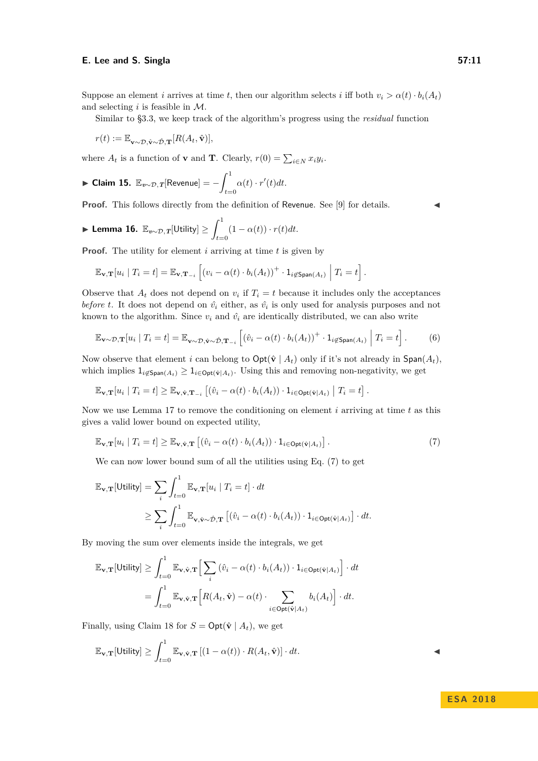# **E.** Lee and S. Singla 57:11

Suppose an element *i* arrives at time *t*, then our algorithm selects *i* iff both  $v_i > \alpha(t) \cdot b_i(A_t)$ and selecting *i* is feasible in M.

Similar to [§3.3,](#page-8-5) we keep track of the algorithm's progress using the *residual* function

$$
r(t) := \mathbb{E}_{\mathbf{v} \sim \mathcal{D}, \hat{\mathbf{v}} \sim \hat{\mathcal{D}}, \mathbf{T}}[R(A_t, \hat{\mathbf{v}})],
$$

where  $A_t$  is a function of **v** and **T**. Clearly,  $r(0) = \sum_{i \in N} x_i y_i$ .

<span id="page-10-2"></span>
$$
\blacktriangleright \text{Claim 15. } \mathbb{E}_{v \sim \mathcal{D}, T}[\text{Revenue}] = -\int_{t=0}^{1} \alpha(t) \cdot r'(t) dt.
$$

**Proof.** This follows directly from the definition of Revenue. See [\[9\]](#page-12-3) for details.

<span id="page-10-1"></span>
$$
\blacktriangleright \textbf{ Lemma 16. } \mathbb{E}_{v \sim \mathcal{D}, T}[\text{Utility}] \geq \int_{t=0}^{1} (1 - \alpha(t)) \cdot r(t) dt.
$$

**Proof.** The utility for element *i* arriving at time *t* is given by

$$
\mathbb{E}_{\mathbf{v},\mathbf{T}}[u_i \mid T_i = t] = \mathbb{E}_{\mathbf{v},\mathbf{T}_{-i}}\left[(v_i - \alpha(t) \cdot b_i(A_t))^{+} \cdot \mathbf{1}_{i \notin \mathsf{Span}(A_t)} \middle| T_i = t\right].
$$

Observe that  $A_t$  does not depend on  $v_i$  if  $T_i = t$  because it includes only the acceptances *before t*. It does not depend on  $\hat{v}_i$  either, as  $\hat{v}_i$  is only used for analysis purposes and not known to the algorithm. Since  $v_i$  and  $\hat{v_i}$  are identically distributed, we can also write

$$
\mathbb{E}_{\mathbf{v}\sim\mathcal{D},\mathbf{T}}[u_i \mid T_i = t] = \mathbb{E}_{\mathbf{v}\sim\mathcal{D},\hat{\mathbf{v}}\sim\hat{\mathcal{D}},\mathbf{T}_{-i}}\left[ (\hat{v}_i - \alpha(t) \cdot b_i(A_t))^+ \cdot \mathbf{1}_{i \notin \text{Span}(A_t)} \middle| T_i = t \right].
$$
 (6)

Now observe that element *i* can belong to  $\text{Opt}(\hat{\mathbf{v}} \mid A_t)$  only if it's not already in  $\text{Span}(A_t)$ , which implies  $1_{i \notin \mathsf{Span}(A_t)} \geq 1_{i \in \mathsf{Opt}(\hat{\mathbf{v}}|A_t)}$ . Using this and removing non-negativity, we get

$$
\mathbb{E}_{\mathbf{v},\mathbf{T}}[u_i \mid T_i = t] \geq \mathbb{E}_{\mathbf{v},\hat{\mathbf{v}},\mathbf{T}_{-i}}\left[ (\hat{v}_i - \alpha(t) \cdot b_i(A_t)) \cdot 1_{i \in \text{Opt}(\hat{\mathbf{v}}|A_t)} \mid T_i = t \right].
$$

Now we use Lemma [17](#page-11-3) to remove the conditioning on element *i* arriving at time *t* as this gives a valid lower bound on expected utility,

<span id="page-10-0"></span>
$$
\mathbb{E}_{\mathbf{v},\mathbf{T}}[u_i \mid T_i = t] \ge \mathbb{E}_{\mathbf{v},\hat{\mathbf{v}},\mathbf{T}}\left[ (\hat{v}_i - \alpha(t) \cdot b_i(A_t)) \cdot 1_{i \in \text{Opt}(\hat{\mathbf{v}}|A_t)} \right].
$$
\n(7)

We can now lower bound sum of all the utilities using Eq. [\(7\)](#page-10-0) to get

$$
\mathbb{E}_{\mathbf{v},\mathbf{T}}[\text{Utility}] = \sum_{i} \int_{t=0}^{1} \mathbb{E}_{\mathbf{v},\mathbf{T}}[u_i \mid T_i = t] \cdot dt
$$
  
 
$$
\geq \sum_{i} \int_{t=0}^{1} \mathbb{E}_{\mathbf{v},\hat{\mathbf{v}} \sim \hat{\mathcal{D}},\mathbf{T}} \left[ (\hat{v}_i - \alpha(t) \cdot b_i(A_t)) \cdot 1_{i \in \text{Opt}(\hat{\mathbf{v}}|A_t)} \right] \cdot dt.
$$

By moving the sum over elements inside the integrals, we get

$$
\mathbb{E}_{\mathbf{v},\mathbf{T}}[\text{Utility}] \ge \int_{t=0}^{1} \mathbb{E}_{\mathbf{v},\hat{\mathbf{v}},\mathbf{T}} \Big[ \sum_{i} (\hat{v}_i - \alpha(t) \cdot b_i(A_t)) \cdot 1_{i \in \text{Opt}(\hat{\mathbf{v}}|A_t)} \Big] \cdot dt
$$

$$
= \int_{t=0}^{1} \mathbb{E}_{\mathbf{v},\hat{\mathbf{v}},\mathbf{T}} \Big[ R(A_t,\hat{\mathbf{v}}) - \alpha(t) \cdot \sum_{i \in \text{Opt}(\hat{\mathbf{v}}|A_t)} b_i(A_t) \Big] \cdot dt.
$$

Finally, using Claim [18](#page-11-2) for  $S = \text{Opt}(\hat{\mathbf{v}} \mid A_t)$ , we get

$$
\mathbb{E}_{\mathbf{v},\mathbf{T}}[\mathsf{Utility}] \ge \int_{t=0}^{1} \mathbb{E}_{\mathbf{v},\hat{\mathbf{v}},\mathbf{T}} \left[ (1 - \alpha(t)) \cdot R(A_t, \hat{\mathbf{v}}) \right] \cdot dt.
$$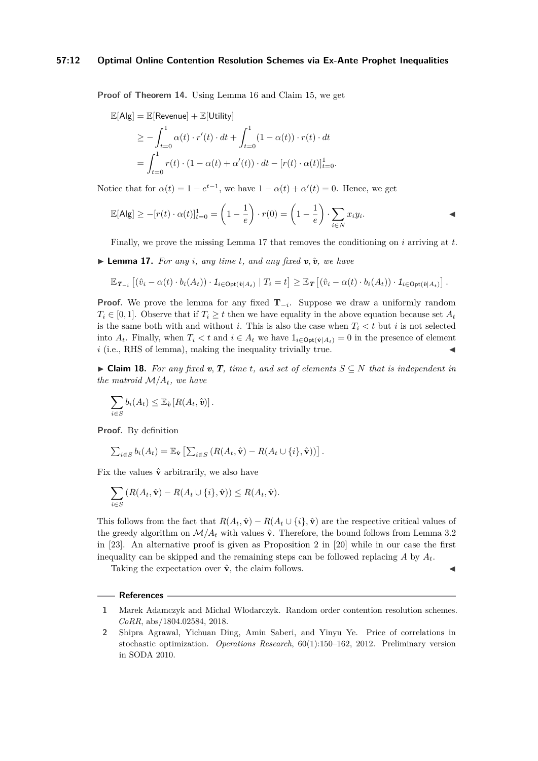## **57:12 Optimal Online Contention Resolution Schemes via Ex-Ante Prophet Inequalities**

**Proof of Theorem [14.](#page-9-1)** Using Lemma [16](#page-10-1) and Claim [15,](#page-10-2) we get

$$
\mathbb{E}[\mathsf{Alg}] = \mathbb{E}[\text{Revenue}] + \mathbb{E}[\text{Utility}]
$$
  
\n
$$
\geq -\int_{t=0}^{1} \alpha(t) \cdot r'(t) \cdot dt + \int_{t=0}^{1} (1 - \alpha(t)) \cdot r(t) \cdot dt
$$
  
\n
$$
= \int_{t=0}^{1} r(t) \cdot (1 - \alpha(t) + \alpha'(t)) \cdot dt - [r(t) \cdot \alpha(t)]_{t=0}^{1}.
$$

Notice that for  $\alpha(t) = 1 - e^{t-1}$ , we have  $1 - \alpha(t) + \alpha'(t) = 0$ . Hence, we get

$$
\mathbb{E}[\mathsf{Alg}] \ge -[r(t) \cdot \alpha(t)]_{t=0}^1 = \left(1 - \frac{1}{e}\right) \cdot r(0) = \left(1 - \frac{1}{e}\right) \cdot \sum_{i \in N} x_i y_i.
$$

Finally, we prove the missing Lemma [17](#page-11-3) that removes the conditioning on *i* arriving at *t*.

<span id="page-11-3"></span> $\blacktriangleright$  **Lemma 17.** For any *i*, any time *t*, and any fixed **v**,  $\hat{v}$ , we have

$$
\mathbb{E}_{\boldsymbol{T}_{-i}}\left[(\hat{v}_i-\alpha(t)\cdot b_i(A_t))\cdot \mathbf{1}_{i\in \text{Opt}(\hat{v}|A_t)}\mid T_i=t\right] \geq \mathbb{E}_{\boldsymbol{T}}\left[(\hat{v}_i-\alpha(t)\cdot b_i(A_t))\cdot \mathbf{1}_{i\in \text{Opt}(\hat{v}|A_t)}\right].
$$

**Proof.** We prove the lemma for any fixed **T**<sup>−</sup>*<sup>i</sup>* . Suppose we draw a uniformly random  $T_i \in [0, 1]$ . Observe that if  $T_i \geq t$  then we have equality in the above equation because set  $A_t$ is the same both with and without *i*. This is also the case when  $T_i < t$  but *i* is not selected into  $A_t$ . Finally, when  $T_i < t$  and  $i \in A_t$  we have  $1_{i \in \text{Opt}(\hat{\mathbf{v}}|A_t)} = 0$  in the presence of element  $i$  (i.e., RHS of lemma), making the inequality trivially true.

<span id="page-11-2"></span>► Claim 18. For any fixed **v**, **T**, time **t**, and set of elements  $S \subseteq N$  that is independent in *the matroid*  $M/A_t$ *, we have* 

$$
\sum_{i\in S} b_i(A_t) \leq \mathbb{E}_{\hat{\boldsymbol{v}}}\left[R(A_t,\hat{\boldsymbol{v}})\right].
$$

**Proof.** By definition

$$
\sum_{i \in S} b_i(A_t) = \mathbb{E}_{\hat{\mathbf{v}}} \left[ \sum_{i \in S} \left( R(A_t, \hat{\mathbf{v}}) - R(A_t \cup \{i\}, \hat{\mathbf{v}}) \right) \right].
$$

Fix the values  $\hat{\mathbf{v}}$  arbitrarily, we also have

$$
\sum_{i\in S} \left( R(A_t, \hat{\mathbf{v}}) - R(A_t \cup \{i\}, \hat{\mathbf{v}}) \right) \le R(A_t, \hat{\mathbf{v}}).
$$

This follows from the fact that  $R(A_t, \hat{v}) - R(A_t \cup \{i\}, \hat{v})$  are the respective critical values of the greedy algorithm on  $\mathcal{M}/A_t$  with values  $\hat{\mathbf{v}}$ . Therefore, the bound follows from Lemma 3.2 in [\[23\]](#page-13-7). An alternative proof is given as Proposition 2 in [\[20\]](#page-13-1) while in our case the first inequality can be skipped and the remaining steps can be followed replacing  $A$  by  $A_t$ .

Taking the expectation over  $\hat{\mathbf{v}}$ , the claim follows.

#### **References**

- <span id="page-11-0"></span>**1** Marek Adamczyk and Michal Wlodarczyk. Random order contention resolution schemes. *CoRR*, abs/1804.02584, 2018.
- <span id="page-11-1"></span>**2** Shipra Agrawal, Yichuan Ding, Amin Saberi, and Yinyu Ye. Price of correlations in stochastic optimization. *Operations Research*, 60(1):150–162, 2012. Preliminary version in SODA 2010.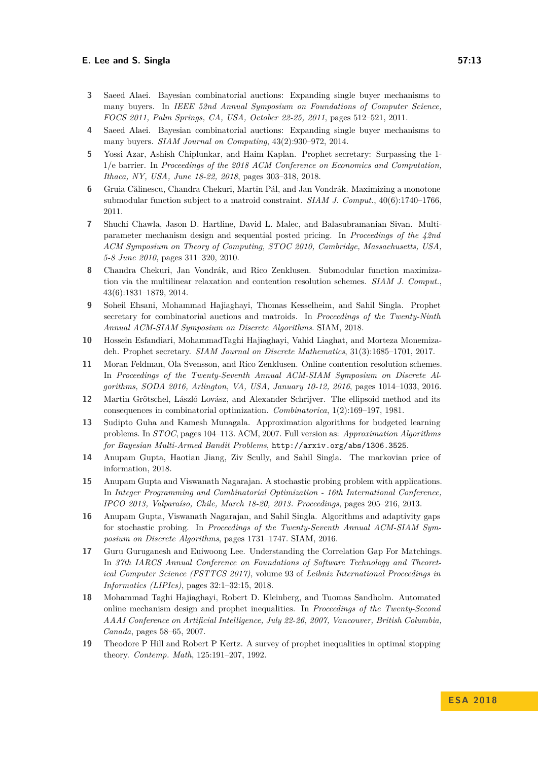### **E. Lee and S. Singla 57:13**

- <span id="page-12-10"></span>**3** Saeed Alaei. Bayesian combinatorial auctions: Expanding single buyer mechanisms to many buyers. In *IEEE 52nd Annual Symposium on Foundations of Computer Science, FOCS 2011, Palm Springs, CA, USA, October 22-25, 2011*, pages 512–521, 2011.
- <span id="page-12-6"></span>Saeed Alaei. Bayesian combinatorial auctions: Expanding single buyer mechanisms to many buyers. *SIAM Journal on Computing*, 43(2):930–972, 2014.
- <span id="page-12-4"></span>**5** Yossi Azar, Ashish Chiplunkar, and Haim Kaplan. Prophet secretary: Surpassing the 1- 1/e barrier. In *Proceedings of the 2018 ACM Conference on Economics and Computation, Ithaca, NY, USA, June 18-22, 2018*, pages 303–318, 2018.
- <span id="page-12-7"></span>**6** Gruia Călinescu, Chandra Chekuri, Martin Pál, and Jan Vondrák. Maximizing a monotone submodular function subject to a matroid constraint. *SIAM J. Comput.*, 40(6):1740–1766, 2011.
- <span id="page-12-11"></span>**7** Shuchi Chawla, Jason D. Hartline, David L. Malec, and Balasubramanian Sivan. Multiparameter mechanism design and sequential posted pricing. In *Proceedings of the 42nd ACM Symposium on Theory of Computing, STOC 2010, Cambridge, Massachusetts, USA, 5-8 June 2010*, pages 311–320, 2010.
- <span id="page-12-1"></span>**8** Chandra Chekuri, Jan Vondrák, and Rico Zenklusen. Submodular function maximization via the multilinear relaxation and contention resolution schemes. *SIAM J. Comput.*, 43(6):1831–1879, 2014.
- <span id="page-12-3"></span>**9** Soheil Ehsani, Mohammad Hajiaghayi, Thomas Kesselheim, and Sahil Singla. Prophet secretary for combinatorial auctions and matroids. In *Proceedings of the Twenty-Ninth Annual ACM-SIAM Symposium on Discrete Algorithms*. SIAM, 2018.
- <span id="page-12-2"></span>**10** Hossein Esfandiari, MohammadTaghi Hajiaghayi, Vahid Liaghat, and Morteza Monemizadeh. Prophet secretary. *SIAM Journal on Discrete Mathematics*, 31(3):1685–1701, 2017.
- <span id="page-12-0"></span>**11** Moran Feldman, Ola Svensson, and Rico Zenklusen. Online contention resolution schemes. In *Proceedings of the Twenty-Seventh Annual ACM-SIAM Symposium on Discrete Algorithms, SODA 2016, Arlington, VA, USA, January 10-12, 2016*, pages 1014–1033, 2016.
- <span id="page-12-16"></span>**12** Martin Grötschel, László Lovász, and Alexander Schrijver. The ellipsoid method and its consequences in combinatorial optimization. *Combinatorica*, 1(2):169–197, 1981.
- <span id="page-12-13"></span>**13** Sudipto Guha and Kamesh Munagala. Approximation algorithms for budgeted learning problems. In *STOC*, pages 104–113. ACM, 2007. Full version as: *Approximation Algorithms for Bayesian Multi-Armed Bandit Problems*, <http://arxiv.org/abs/1306.3525>.
- <span id="page-12-15"></span>**14** Anupam Gupta, Haotian Jiang, Ziv Scully, and Sahil Singla. The markovian price of information, 2018.
- <span id="page-12-5"></span>**15** Anupam Gupta and Viswanath Nagarajan. A stochastic probing problem with applications. In *Integer Programming and Combinatorial Optimization - 16th International Conference, IPCO 2013, Valparaíso, Chile, March 18-20, 2013. Proceedings*, pages 205–216, 2013.
- <span id="page-12-14"></span>**16** Anupam Gupta, Viswanath Nagarajan, and Sahil Singla. Algorithms and adaptivity gaps for stochastic probing. In *Proceedings of the Twenty-Seventh Annual ACM-SIAM Symposium on Discrete Algorithms*, pages 1731–1747. SIAM, 2016.
- <span id="page-12-12"></span>**17** Guru Guruganesh and Euiwoong Lee. Understanding the Correlation Gap For Matchings. In *37th IARCS Annual Conference on Foundations of Software Technology and Theoretical Computer Science (FSTTCS 2017)*, volume 93 of *Leibniz International Proceedings in Informatics (LIPIcs)*, pages 32:1–32:15, 2018.
- <span id="page-12-9"></span>**18** Mohammad Taghi Hajiaghayi, Robert D. Kleinberg, and Tuomas Sandholm. Automated online mechanism design and prophet inequalities. In *Proceedings of the Twenty-Second AAAI Conference on Artificial Intelligence, July 22-26, 2007, Vancouver, British Columbia, Canada*, pages 58–65, 2007.
- <span id="page-12-8"></span>**19** Theodore P Hill and Robert P Kertz. A survey of prophet inequalities in optimal stopping theory. *Contemp. Math*, 125:191–207, 1992.